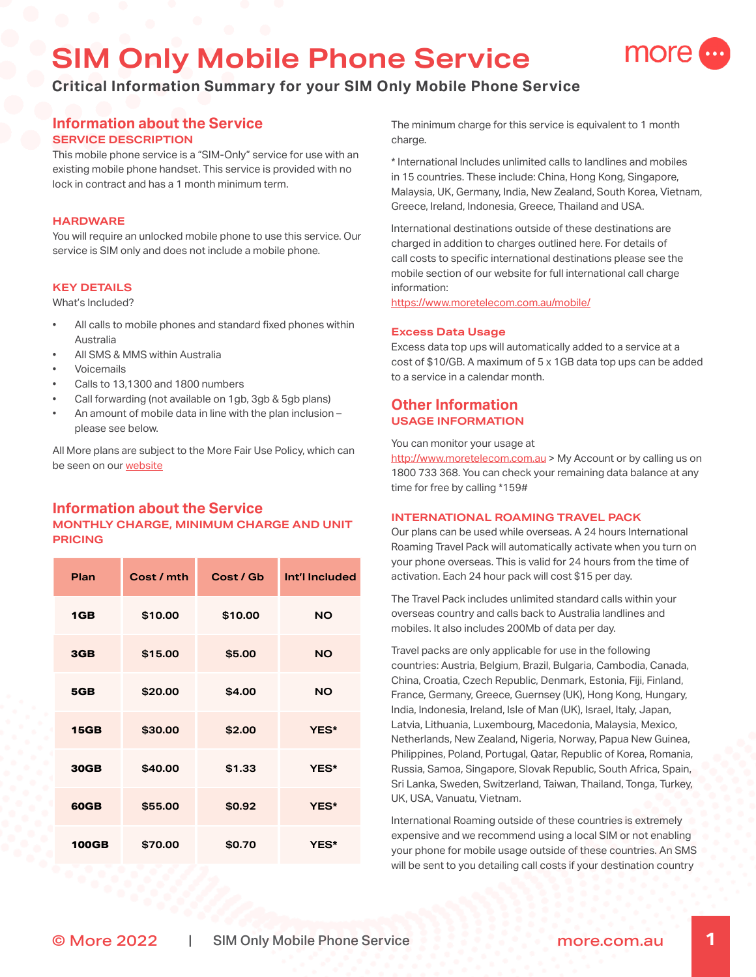# **SIM Only Mobile Phone Service**



# **Information about the Service SERVICE DESCRIPTION**

This mobile phone service is a "SIM-Only" service for use with an existing mobile phone handset. This service is provided with no lock in contract and has a 1 month minimum term.

# **HARDWARE**

You will require an unlocked mobile phone to use this service. Our service is SIM only and does not include a mobile phone.

## **KEY DETAILS**

What's Included?

- All calls to mobile phones and standard fixed phones within Australia
- All SMS & MMS within Australia
- **Voicemails**
- Calls to 13,1300 and 1800 numbers
- Call forwarding (not available on 1gb, 3gb & 5gb plans)
- An amount of mobile data in line with the plan inclusion please see below.

All More plans are subject to the More Fair Use Policy, which can be seen on our [website](https://www.moretelecom.com.au/policies)

# **Information about the Service MONTHLY CHARGE, MINIMUM CHARGE AND UNIT PRICING**

| Plan         | Cost / mth | Cost / Gb | Int'l Included |
|--------------|------------|-----------|----------------|
| 1GB          | \$10.00    | \$10.00   | <b>NO</b>      |
| 3GB          | \$15.00    | \$5.00    | <b>NO</b>      |
| 5GB          | \$20.00    | \$4.00    | <b>NO</b>      |
| <b>15GB</b>  | \$30.00    | \$2.00    | YES*           |
| <b>30GB</b>  | \$40.00    | \$1.33    | YES*           |
| <b>60GB</b>  | \$55.00    | \$0.92    | YES*           |
| <b>100GB</b> | \$70.00    | \$0.70    | <b>YES*</b>    |

The minimum charge for this service is equivalent to 1 month charge.

more

\* International Includes unlimited calls to landlines and mobiles in 15 countries. These include: China, Hong Kong, Singapore, Malaysia, UK, Germany, India, New Zealand, South Korea, Vietnam, Greece, Ireland, Indonesia, Greece, Thailand and USA.

International destinations outside of these destinations are charged in addition to charges outlined here. For details of call costs to specific international destinations please see the mobile section of our website for full international call charge information:

<https://www.moretelecom.com.au/mobile/>

## **Excess Data Usage**

Excess data top ups will automatically added to a service at a cost of \$10/GB. A maximum of 5 x 1GB data top ups can be added to a service in a calendar month.

# **Other Information USAGE INFORMATION**

You can monitor your usage at

<http://www.moretelecom.com.au>> My Account or by calling us on 1800 733 368. You can check your remaining data balance at any time for free by calling \*159#

#### **INTERNATIONAL ROAMING TRAVEL PACK**

Our plans can be used while overseas. A 24 hours International Roaming Travel Pack will automatically activate when you turn on your phone overseas. This is valid for 24 hours from the time of activation. Each 24 hour pack will cost \$15 per day.

The Travel Pack includes unlimited standard calls within your overseas country and calls back to Australia landlines and mobiles. It also includes 200Mb of data per day.

Travel packs are only applicable for use in the following countries: Austria, Belgium, Brazil, Bulgaria, Cambodia, Canada, China, Croatia, Czech Republic, Denmark, Estonia, Fiji, Finland, France, Germany, Greece, Guernsey (UK), Hong Kong, Hungary, India, Indonesia, Ireland, Isle of Man (UK), Israel, Italy, Japan, Latvia, Lithuania, Luxembourg, Macedonia, Malaysia, Mexico, Netherlands, New Zealand, Nigeria, Norway, Papua New Guinea, Philippines, Poland, Portugal, Qatar, Republic of Korea, Romania, Russia, Samoa, Singapore, Slovak Republic, South Africa, Spain, Sri Lanka, Sweden, Switzerland, Taiwan, Thailand, Tonga, Turkey, UK, USA, Vanuatu, Vietnam.

International Roaming outside of these countries is extremely expensive and we recommend using a local SIM or not enabling your phone for mobile usage outside of these countries. An SMS will be sent to you detailing call costs if your destination country